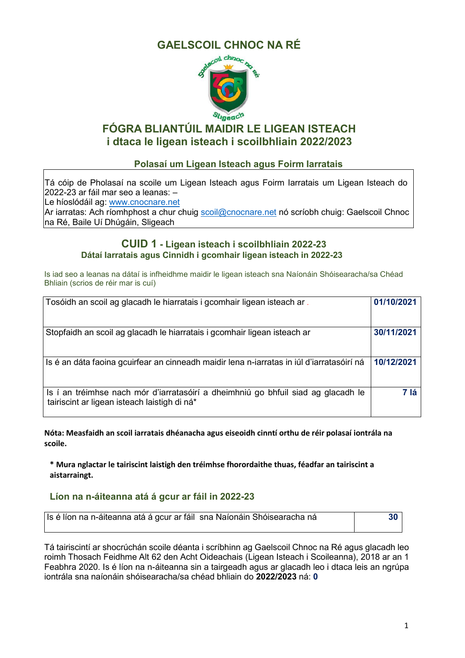# **GAELSCOIL CHNOC NA RÉ**



## **FÓGRA BLIANTÚIL MAIDIR LE LIGEAN ISTEACH i dtaca le ligean isteach i scoilbhliain 2022/2023**

### **Polasaí um Ligean Isteach agus Foirm Iarratais**

Tá cóip de Pholasaí na scoile um Ligean Isteach agus Foirm Iarratais um Ligean Isteach do 2022-23 ar fáil mar seo a leanas: –

Le híoslódáil ag: [www.cnocnare.net](http://www.cnocnare.net/)

Ar iarratas: Ach ríomhphost a chur chuig <u>scoil@cnocnare.net</u> nó scríobh chuig: Gaelscoil Chnoc na Ré, Baile Uí Dhúgáin, Sligeach

### **CUID 1 - Ligean isteach i scoilbhliain 2022-23 Dátaí Iarratais agus Cinnidh i gcomhair ligean isteach in 2022-23**

Is iad seo a leanas na dátaí is infheidhme maidir le ligean isteach sna Naíonáin Shóisearacha/sa Chéad Bhliain (scrios de réir mar is cuí)

| Tosóidh an scoil ag glacadh le hiarratais i gcomhair ligean isteach ar.                                                           | 01/10/2021 |
|-----------------------------------------------------------------------------------------------------------------------------------|------------|
| Stopfaidh an scoil ag glacadh le hiarratais i gcomhair ligean isteach ar                                                          | 30/11/2021 |
| Is é an dáta faoina gcuirfear an cinneadh maidir lena n-iarratas in iúl d'iarratasóirí ná                                         | 10/12/2021 |
| Is í an tréimhse nach mór d'iarratasóirí a dheimhniú go bhfuil siad ag glacadh le<br>tairiscint ar ligean isteach laistigh di ná* | 7 lá       |

**Nóta: Measfaidh an scoil iarratais dhéanacha agus eiseoidh cinntí orthu de réir polasaí iontrála na scoile.**

**\* Mura nglactar le tairiscint laistigh den tréimhse fhorordaithe thuas, féadfar an tairiscint a aistarraingt.**

### **Líon na n-áiteanna atá á gcur ar fáil in 2022-23**

| Is é líon na n-áiteanna atá á gcur ar fáil sna Naíonáin Shóisearacha ná |  |
|-------------------------------------------------------------------------|--|
|                                                                         |  |

Tá tairiscintí ar shocrúchán scoile déanta i scríbhinn ag Gaelscoil Chnoc na Ré agus glacadh leo roimh Thosach Feidhme Alt 62 den Acht Oideachais (Ligean Isteach i Scoileanna), 2018 ar an 1 Feabhra 2020. Is é líon na n-áiteanna sin a tairgeadh agus ar glacadh leo i dtaca leis an ngrúpa iontrála sna naíonáin shóisearacha/sa chéad bhliain do **2022/2023** ná: **0**